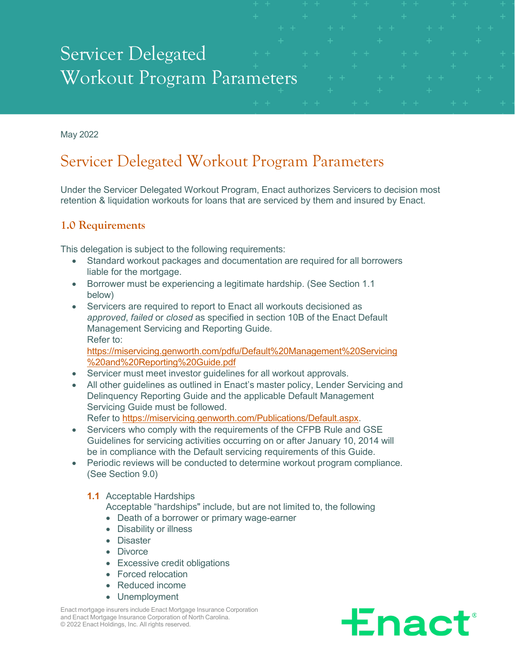# Servicer Delegated Workout Program Parameters

May 2022

# Servicer Delegated Workout Program Parameters

Under the Servicer Delegated Workout Program, Enact authorizes Servicers to decision most retention & liquidation workouts for loans that are serviced by them and insured by Enact.

# **1.0 Requirements**

This delegation is subject to the following requirements:

- Standard workout packages and documentation are required for all borrowers liable for the mortgage.
- Borrower must be experiencing a legitimate hardship. (See Section 1.1 below)
- Servicers are required to report to Enact all workouts decisioned as *approved*, *failed* or *closed* as specified in section 10B of the Enact Default Management Servicing and Reporting Guide. Refer to:

[https://miservicing.genworth.com/pdfu/Default%20Management%20Servicing](https://miservicing.genworth.com/pdfu/Default%20Management%20Servicing%20and%20Reporting%20Guide.pdf) [%20and%20Reporting%20Guide.pdf](https://miservicing.genworth.com/pdfu/Default%20Management%20Servicing%20and%20Reporting%20Guide.pdf) 

- Servicer must meet investor guidelines for all workout approvals.
- All other quidelines as outlined in Enact's master policy, Lender Servicing and Delinquency Reporting Guide and the applicable Default Management Servicing Guide must be followed. Refer to [https://miservicing.genworth.com/Publications/Default.aspx.](https://miservicing.genworth.com/Publications/Default.aspx)
- Servicers who comply with the requirements of the CFPB Rule and GSE Guidelines for servicing activities occurring on or after January 10, 2014 will be in compliance with the Default servicing requirements of this Guide.
- Periodic reviews will be conducted to determine workout program compliance. (See Section 9.0)

**1.1** Acceptable Hardships

Acceptable "hardships" include, but are not limited to, the following

- Death of a borrower or primary wage-earner
- Disability or illness
- Disaster
- Divorce
- Excessive credit obligations
- Forced relocation
- Reduced income
- Unemployment

Enact mortgage insurers include Enact Mortgage Insurance Corporation and Enact Mortgage Insurance Corporation of North Carolina. © 2022 Enact Holdings, Inc. All rights reserved.

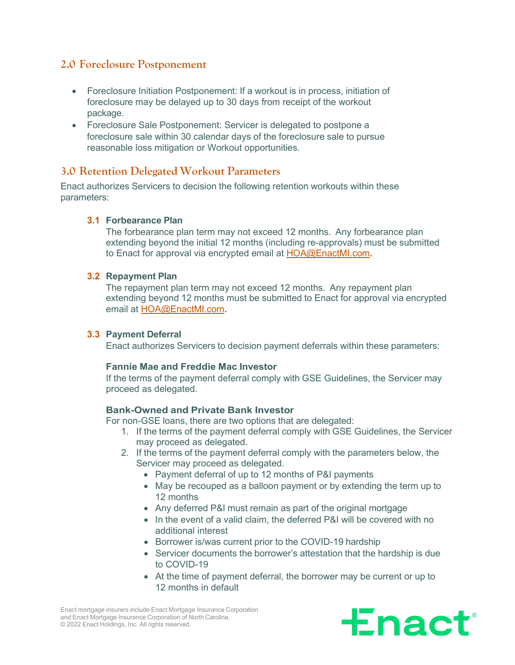# **2.0 Foreclosure Postponement**

- Foreclosure Initiation Postponement: If a workout is in process, initiation of foreclosure may be delayed up to 30 days from receipt of the workout package.
- Foreclosure Sale Postponement: Servicer is delegated to postpone a foreclosure sale within 30 calendar days of the foreclosure sale to pursue reasonable loss mitigation or Workout opportunities.

# **3.0 Retention Delegated Workout Parameters**

Enact authorizes Servicers to decision the following retention workouts within these parameters:

#### **3.1 Forbearance Plan**

The forbearance plan term may not exceed 12 months. Any forbearance plan extending beyond the initial 12 months (including re-approvals) must be submitted to Enact for approval via encrypted email at [HOA@EnactMI.com.](mailto:HOA@EnactMI.com)

#### **3.2 Repayment Plan**

The repayment plan term may not exceed 12 months. Any repayment plan extending beyond 12 months must be submitted to Enact for approval via encrypted email at [HOA@EnactMI.com.](mailto:HOA@EnactMI.com)

#### **3.3 Payment Deferral**

Enact authorizes Servicers to decision payment deferrals within these parameters:

#### **Fannie Mae and Freddie Mac Investor**

If the terms of the payment deferral comply with GSE Guidelines, the Servicer may proceed as delegated.

#### **Bank-Owned and Private Bank Investor**

For non-GSE loans, there are two options that are delegated:

- 1. If the terms of the payment deferral comply with GSE Guidelines, the Servicer may proceed as delegated.
- 2. If the terms of the payment deferral comply with the parameters below, the Servicer may proceed as delegated.
	- Payment deferral of up to 12 months of P&I payments
	- May be recouped as a balloon payment or by extending the term up to 12 months
	- Any deferred P&I must remain as part of the original mortgage
	- In the event of a valid claim, the deferred P&I will be covered with no additional interest
	- Borrower is/was current prior to the COVID-19 hardship
	- Servicer documents the borrower's attestation that the hardship is due to COVID-19
	- At the time of payment deferral, the borrower may be current or up to 12 months in default

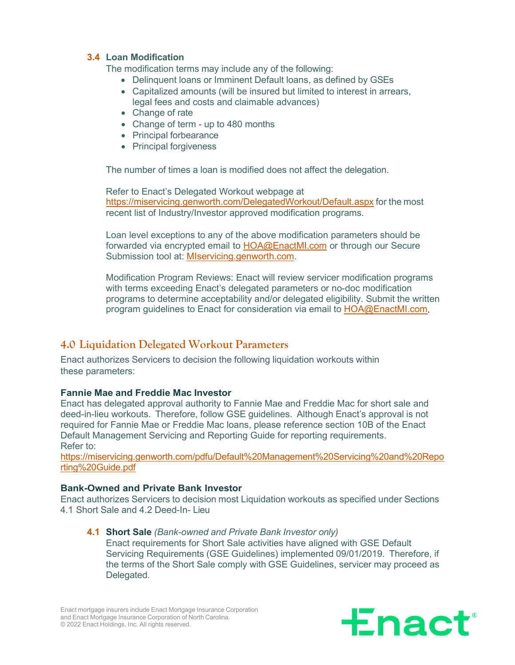#### **3.4 Loan Modification**

The modification terms may include any of the following:

- Delinquent loans or Imminent Default loans, as defined by GSEs
- Capitalized amounts (will be insured but limited to interest in arrears, legal fees and costs and claimable advances)
- Change of rate
- Change of term up to 480 months
- Principal forbearance
- Principal forgiveness

The number of times a loan is modified does not affect the delegation.

Refer to Enact's Delegated Workout webpage at <https://miservicing.genworth.com/DelegatedWorkout/Default.aspx> for the most recent list of Industry/Investor approved modification programs.

Loan level exceptions to any of the above modification parameters should be forwarded via encrypted email to [HOA@EnactMI.com](mailto:HOA@EnactMI.com) or through our Secure Submission tool at: [MIservicing.genworth.com.](https://miservicing.genworth.com/)

Modification Program Reviews: Enact will review servicer modification programs with terms exceeding Enact's delegated parameters or no-doc modification programs to determine acceptability and/or delegated eligibility. Submit the written program guidelines to Enact for consideration via email to [HOA@EnactMI.com.](mailto:HOA@EnactMI.com)

# **4.0 Liquidation Delegated Workout Parameters**

Enact authorizes Servicers to decision the following liquidation workouts within these parameters:

#### **Fannie Mae and Freddie Mac Investor**

Enact has delegated approval authority to Fannie Mae and Freddie Mac for short sale and deed-in-lieu workouts. Therefore, follow GSE guidelines. Although Enact's approval is not required for Fannie Mae or Freddie Mac loans, please reference section 10B of the Enact Default Management Servicing and Reporting Guide for reporting requirements. Refer to:

[https://miservicing.genworth.com/pdfu/Default%20Management%20Servicing%20and%20Repo](https://miservicing.genworth.com/pdfu/Default%20Management%20Servicing%20and%20Reporting%20Guide.pdf) [rting%20Guide.pdf](https://miservicing.genworth.com/pdfu/Default%20Management%20Servicing%20and%20Reporting%20Guide.pdf)

#### **Bank-Owned and Private Bank Investor**

Enact authorizes Servicers to decision most Liquidation workouts as specified under Sections 4.1 Short Sale and 4.2 Deed-In- Lieu

#### **4.1 Short Sale** *(Bank-owned and Private Bank Investor only)*

Enact requirements for Short Sale activities have aligned with GSE Default Servicing Requirements (GSE Guidelines) implemented 09/01/2019. Therefore, if the terms of the Short Sale comply with GSE Guidelines, servicer may proceed as Delegated.

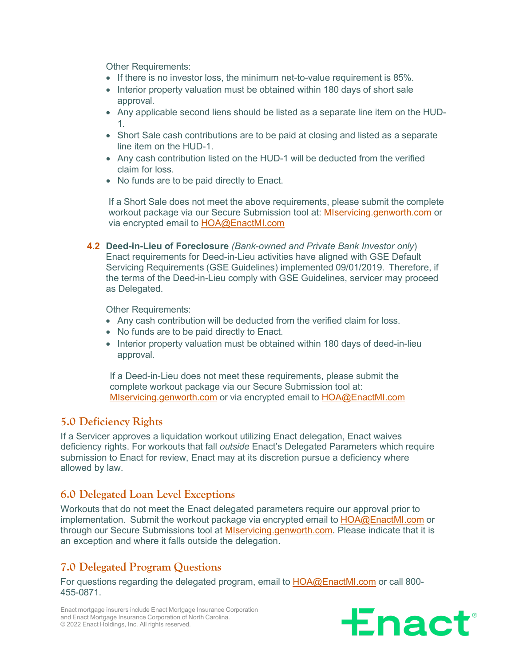Other Requirements:

- If there is no investor loss, the minimum net-to-value requirement is 85%.
- Interior property valuation must be obtained within 180 days of short sale approval.
- Any applicable second liens should be listed as a separate line item on the HUD-1.
- Short Sale cash contributions are to be paid at closing and listed as a separate line item on the HUD-1.
- Any cash contribution listed on the HUD-1 will be deducted from the verified claim for loss.
- No funds are to be paid directly to Enact.

If a Short Sale does not meet the above requirements, please submit the complete workout package via our Secure Submission tool at: [MIservicing.genworth.com](http://miservicing.genworth.com/) or via encrypted email to [HOA@EnactMI.com](mailto:HOA@EnactMI.com)

**4.2 Deed-in-Lieu of Foreclosure** *(Bank-owned and Private Bank Investor only*) Enact requirements for Deed-in-Lieu activities have aligned with GSE Default Servicing Requirements (GSE Guidelines) implemented 09/01/2019. Therefore, if the terms of the Deed-in-Lieu comply with GSE Guidelines, servicer may proceed as Delegated.

Other Requirements:

- Any cash contribution will be deducted from the verified claim for loss.
- No funds are to be paid directly to Enact.
- Interior property valuation must be obtained within 180 days of deed-in-lieu approval.

If a Deed-in-Lieu does not meet these requirements, please submit the complete workout package via our Secure Submission tool at: [MIservicing.genworth.com](http://miservicing.genworth.com/) or via encrypted email to [HOA@EnactMI.com](mailto:HOA@EnactMI.com)

# **5.0 Deficiency Rights**

If a Servicer approves a liquidation workout utilizing Enact delegation, Enact waives deficiency rights. For workouts that fall *outside* Enact's Delegated Parameters which require submission to Enact for review, Enact may at its discretion pursue a deficiency where allowed by law.

# **6.0 Delegated Loan Level Exceptions**

Workouts that do not meet the Enact delegated parameters require our approval prior to implementation. Submit the workout package via encrypted email to [HOA@EnactMI.com](mailto:HOA@EnactMI.com) or through our Secure Submissions tool at **MIservicing.genworth.com**. Please indicate that it is an exception and where it falls outside the delegation.

# **7.0 Delegated Program Questions**

For questions regarding the delegated program, email to **[HOA@EnactMI.com](mailto:HOA@EnactMI.com)** or call 800-455-0871.

Enact mortgage insurers include Enact Mortgage Insurance Corporation and Enact Mortgage Insurance Corporation of North Carolina. © 2022 Enact Holdings, Inc. All rights reserved.